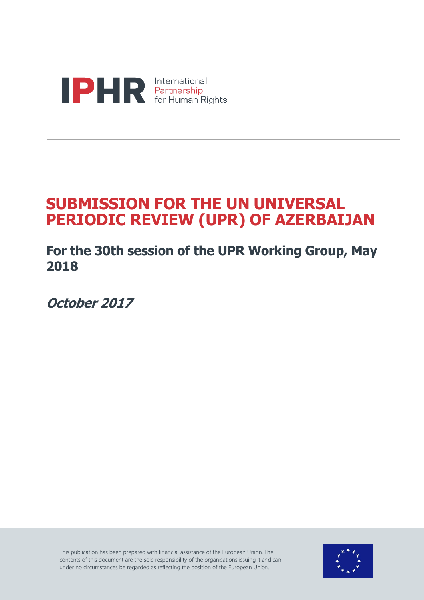

## **SUBMISSION FOR THE UN UNIVERSAL PERIODIC REVIEW (UPR) OF AZERBAIJAN**

**For the 30th session of the UPR Working Group, May 2018**

**October 2017**

This publication has been prepared with financial assistance of the European Union. The contents of this document are the sole responsibility of the organisations issuing it and can under no circumstances be regarded as reflecting the position of the European Union.